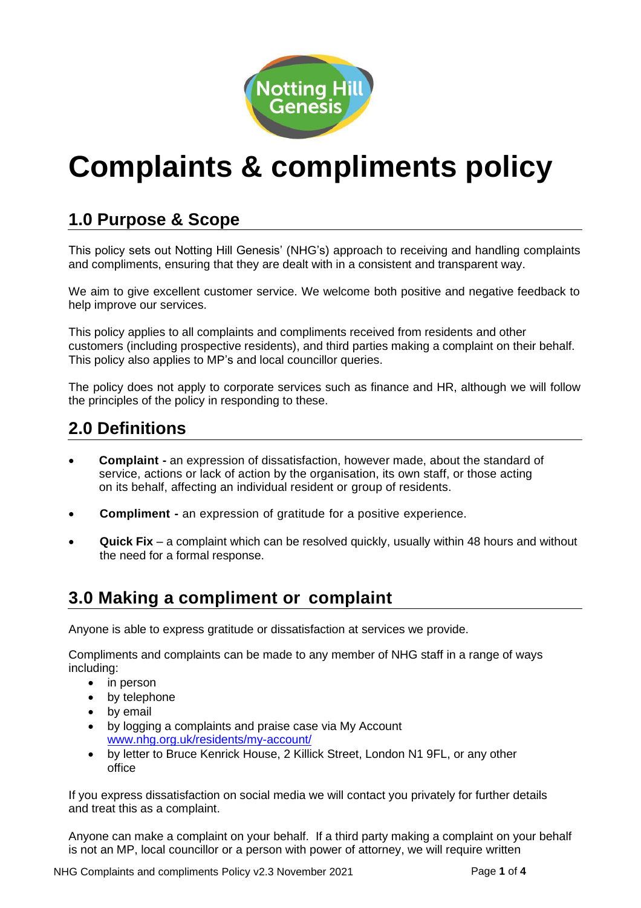

# **Complaints & compliments policy**

# **1.0 Purpose & Scope**

This policy sets out Notting Hill Genesis' (NHG's) approach to receiving and handling complaints and compliments, ensuring that they are dealt with in a consistent and transparent way.

We aim to give excellent customer service. We welcome both positive and negative feedback to help improve our services.

This policy applies to all complaints and compliments received from residents and other customers (including prospective residents), and third parties making a complaint on their behalf. This policy also applies to MP's and local councillor queries.

The policy does not apply to corporate services such as finance and HR, although we will follow the principles of the policy in responding to these.

## **2.0 Definitions**

- **Complaint -** an expression of dissatisfaction, however made, about the standard of service, actions or lack of action by the organisation, its own staff, or those acting on its behalf, affecting an individual resident or group of residents.
- **Compliment -** an expression of gratitude for a positive experience.
- **Quick Fix** a complaint which can be resolved quickly, usually within 48 hours and without the need for a formal response.

### **3.0 Making a compliment or complaint**

Anyone is able to express gratitude or dissatisfaction at services we provide.

Compliments and complaints can be made to any member of NHG staff in a range of ways including:

- in person
- by telephone
- by email
- by logging a complaints and praise case via My Account [www.nhg.org.uk/residents/my-account/](http://www.nhg.org.uk/residents/my-account/)
- by letter to Bruce Kenrick House, 2 Killick Street, London N1 9FL, or any other office

If you express dissatisfaction on social media we will contact you privately for further details and treat this as a complaint.

Anyone can make a complaint on your behalf. If a third party making a complaint on your behalf is not an MP, local councillor or a person with power of attorney, we will require written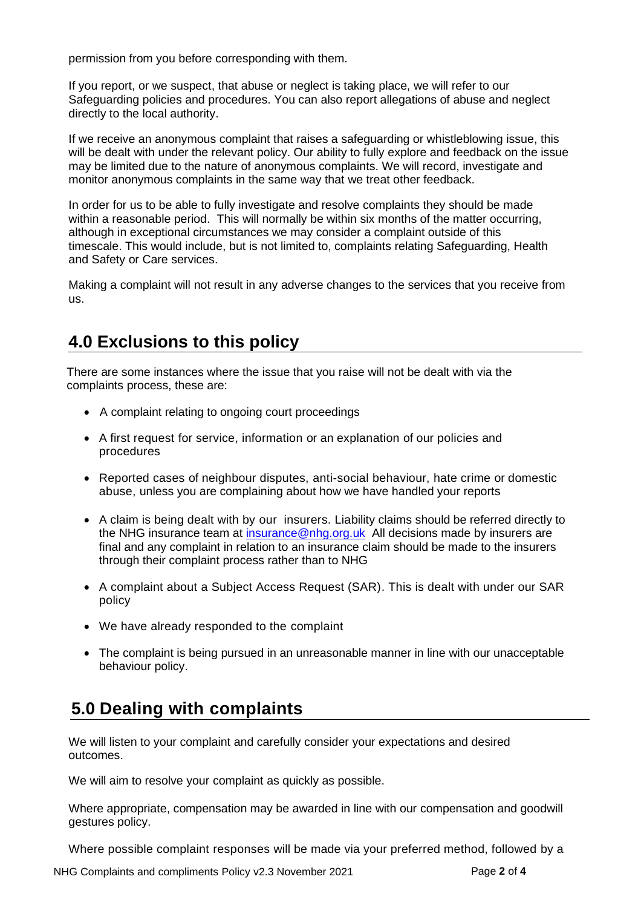permission from you before corresponding with them.

If you report, or we suspect, that abuse or neglect is taking place, we will refer to our Safeguarding policies and procedures. You can also report allegations of abuse and neglect directly to the local authority.

If we receive an anonymous complaint that raises a safeguarding or whistleblowing issue, this will be dealt with under the relevant policy. Our ability to fully explore and feedback on the issue may be limited due to the nature of anonymous complaints. We will record, investigate and monitor anonymous complaints in the same way that we treat other feedback.

In order for us to be able to fully investigate and resolve complaints they should be made within a reasonable period. This will normally be within six months of the matter occurring, although in exceptional circumstances we may consider a complaint outside of this timescale. This would include, but is not limited to, complaints relating Safeguarding, Health and Safety or Care services.

Making a complaint will not result in any adverse changes to the services that you receive from us.

## **4.0 Exclusions to this policy**

There are some instances where the issue that you raise will not be dealt with via the complaints process, these are:

- A complaint relating to ongoing court proceedings
- A first request for service, information or an explanation of our policies and procedures
- Reported cases of neighbour disputes, anti-social behaviour, hate crime or domestic abuse, unless you are complaining about how we have handled your reports
- A claim is being dealt with by our insurers. Liability claims should be referred directly to the NHG insurance team at [insurance@nhg.org.uk](mailto:insurance@nhg.org.uk) All decisions made by insurers are final and any complaint in relation to an insurance claim should be made to the insurers through their complaint process rather than to NHG
- A complaint about a Subject Access Request (SAR). This is dealt with under our SAR policy
- We have already responded to the complaint
- The complaint is being pursued in an unreasonable manner in line with our unacceptable behaviour policy.

# **5.0 Dealing with complaints**

We will listen to your complaint and carefully consider your expectations and desired outcomes.

We will aim to resolve your complaint as quickly as possible.

Where appropriate, compensation may be awarded in line with our compensation and goodwill gestures policy.

Where possible complaint responses will be made via your preferred method, followed by a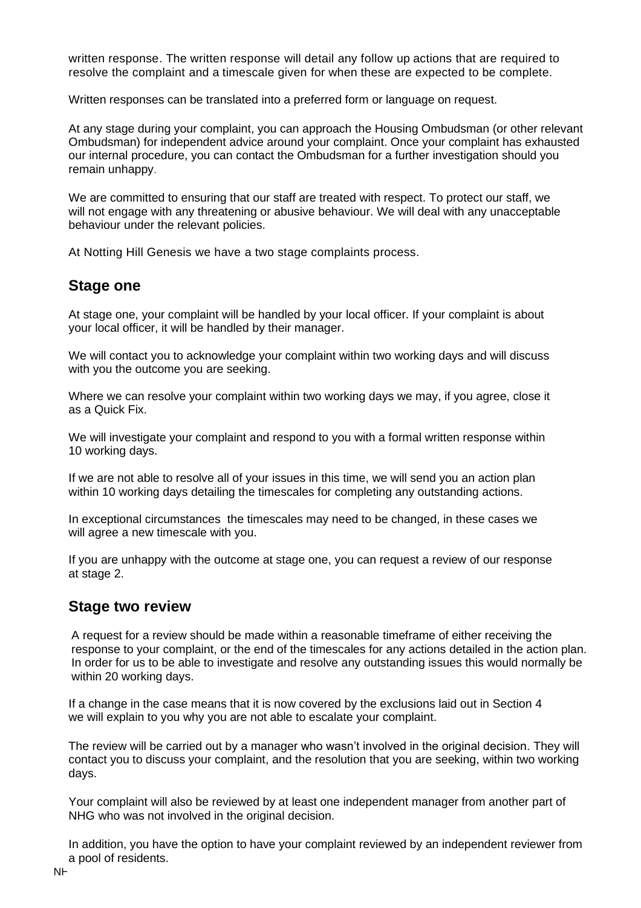written response. The written response will detail any follow up actions that are required to resolve the complaint and a timescale given for when these are expected to be complete.

Written responses can be translated into a preferred form or language on request.

At any stage during your complaint, you can approach the Housing Ombudsman (or other relevant Ombudsman) for independent advice around your complaint. Once your complaint has exhausted our internal procedure, you can contact the Ombudsman for a further investigation should you remain unhappy.

We are committed to ensuring that our staff are treated with respect. To protect our staff, we will not engage with any threatening or abusive behaviour. We will deal with any unacceptable behaviour under the relevant policies.

At Notting Hill Genesis we have a two stage complaints process.

#### **Stage one**

At stage one, your complaint will be handled by your local officer. If your complaint is about your local officer, it will be handled by their manager.

We will contact you to acknowledge your complaint within two working days and will discuss with you the outcome you are seeking.

Where we can resolve your complaint within two working days we may, if you agree, close it as a Quick Fix.

We will investigate your complaint and respond to you with a formal written response within 10 working days.

If we are not able to resolve all of your issues in this time, we will send you an action plan within 10 working days detailing the timescales for completing any outstanding actions.

In exceptional circumstances the timescales may need to be changed, in these cases we will agree a new timescale with you.

If you are unhappy with the outcome at stage one, you can request a review of our response at stage 2.

#### **Stage two review**

A request for a review should be made within a reasonable timeframe of either receiving the response to your complaint, or the end of the timescales for any actions detailed in the action plan. In order for us to be able to investigate and resolve any outstanding issues this would normally be within 20 working days.

If a change in the case means that it is now covered by the exclusions laid out in Section 4 we will explain to you why you are not able to escalate your complaint.

The review will be carried out by a manager who wasn't involved in the original decision. They will contact you to discuss your complaint, and the resolution that you are seeking, within two working days.

Your complaint will also be reviewed by at least one independent manager from another part of NHG who was not involved in the original decision.

In addition, you have the option to have your complaint reviewed by an independent reviewer from a pool of residents.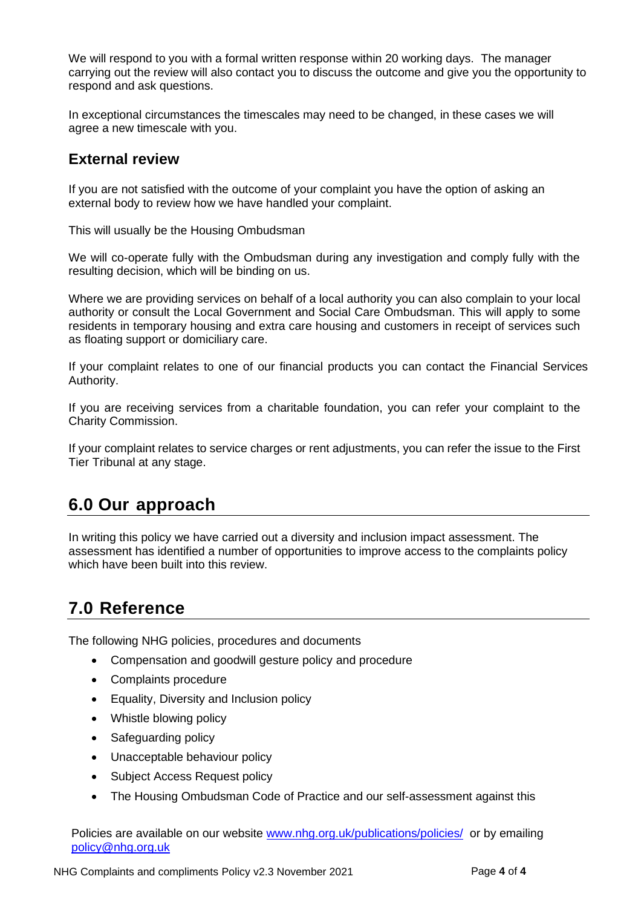We will respond to you with a formal written response within 20 working days. The manager carrying out the review will also contact you to discuss the outcome and give you the opportunity to respond and ask questions.

In exceptional circumstances the timescales may need to be changed, in these cases we will agree a new timescale with you.

#### **External review**

If you are not satisfied with the outcome of your complaint you have the option of asking an external body to review how we have handled your complaint.

This will usually be the Housing Ombudsman

We will co-operate fully with the Ombudsman during any investigation and comply fully with the resulting decision, which will be binding on us.

Where we are providing services on behalf of a local authority you can also complain to your local authority or consult the Local Government and Social Care Ombudsman. This will apply to some residents in temporary housing and extra care housing and customers in receipt of services such as floating support or domiciliary care.

If your complaint relates to one of our financial products you can contact the Financial Services Authority.

If you are receiving services from a charitable foundation, you can refer your complaint to the Charity Commission.

If your complaint relates to service charges or rent adjustments, you can refer the issue to the First Tier Tribunal at any stage.

## **6.0 Our approach**

In writing this policy we have carried out a diversity and inclusion impact assessment. The assessment has identified a number of opportunities to improve access to the complaints policy which have been built into this review.

## **7.0 Reference**

The following NHG policies, procedures and documents

- Compensation and goodwill gesture policy and procedure
- Complaints procedure
- Equality, Diversity and Inclusion policy
- Whistle blowing policy
- Safeguarding policy
- Unacceptable behaviour policy
- Subject Access Request policy
- The Housing Ombudsman Code of Practice and our self-assessment against this

Policies are available on our website [www.nhg.org.uk/publications/policies/](http://www.nhg.org.uk/publications/policies/) or by emailing [policy@nhg.org.uk](mailto:policy@nhg.org.uk)